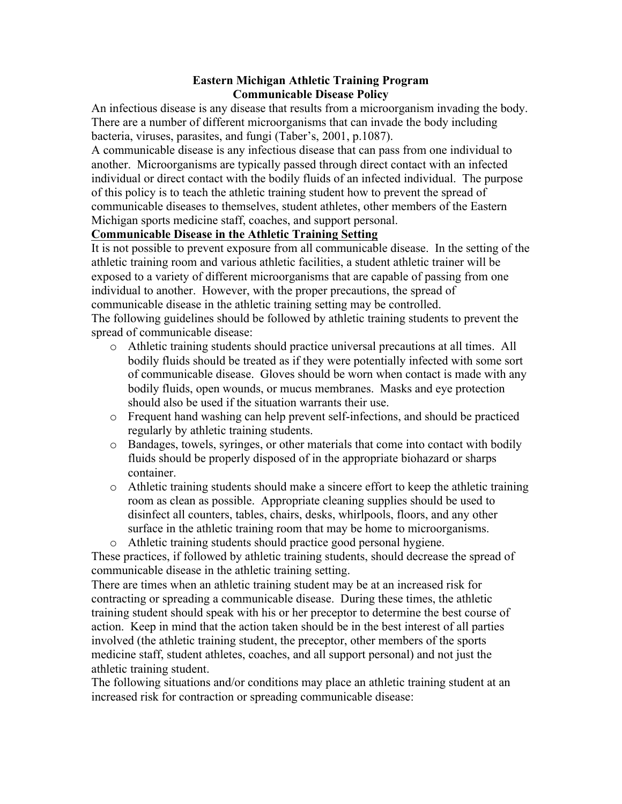## **Eastern Michigan Athletic Training Program Communicable Disease Policy**

An infectious disease is any disease that results from a microorganism invading the body. There are a number of different microorganisms that can invade the body including bacteria, viruses, parasites, and fungi (Taber's, 2001, p.1087).

A communicable disease is any infectious disease that can pass from one individual to another. Microorganisms are typically passed through direct contact with an infected individual or direct contact with the bodily fluids of an infected individual. The purpose of this policy is to teach the athletic training student how to prevent the spread of communicable diseases to themselves, student athletes, other members of the Eastern Michigan sports medicine staff, coaches, and support personal.

## **Communicable Disease in the Athletic Training Setting**

It is not possible to prevent exposure from all communicable disease. In the setting of the athletic training room and various athletic facilities, a student athletic trainer will be exposed to a variety of different microorganisms that are capable of passing from one individual to another. However, with the proper precautions, the spread of communicable disease in the athletic training setting may be controlled. The following guidelines should be followed by athletic training students to prevent the

spread of communicable disease:

- o Athletic training students should practice universal precautions at all times. All bodily fluids should be treated as if they were potentially infected with some sort of communicable disease. Gloves should be worn when contact is made with any bodily fluids, open wounds, or mucus membranes. Masks and eye protection should also be used if the situation warrants their use.
- o Frequent hand washing can help prevent self-infections, and should be practiced regularly by athletic training students.
- o Bandages, towels, syringes, or other materials that come into contact with bodily fluids should be properly disposed of in the appropriate biohazard or sharps container.
- o Athletic training students should make a sincere effort to keep the athletic training room as clean as possible. Appropriate cleaning supplies should be used to disinfect all counters, tables, chairs, desks, whirlpools, floors, and any other surface in the athletic training room that may be home to microorganisms.
- o Athletic training students should practice good personal hygiene.

These practices, if followed by athletic training students, should decrease the spread of communicable disease in the athletic training setting.

There are times when an athletic training student may be at an increased risk for contracting or spreading a communicable disease. During these times, the athletic training student should speak with his or her preceptor to determine the best course of action. Keep in mind that the action taken should be in the best interest of all parties involved (the athletic training student, the preceptor, other members of the sports medicine staff, student athletes, coaches, and all support personal) and not just the athletic training student.

The following situations and/or conditions may place an athletic training student at an increased risk for contraction or spreading communicable disease: